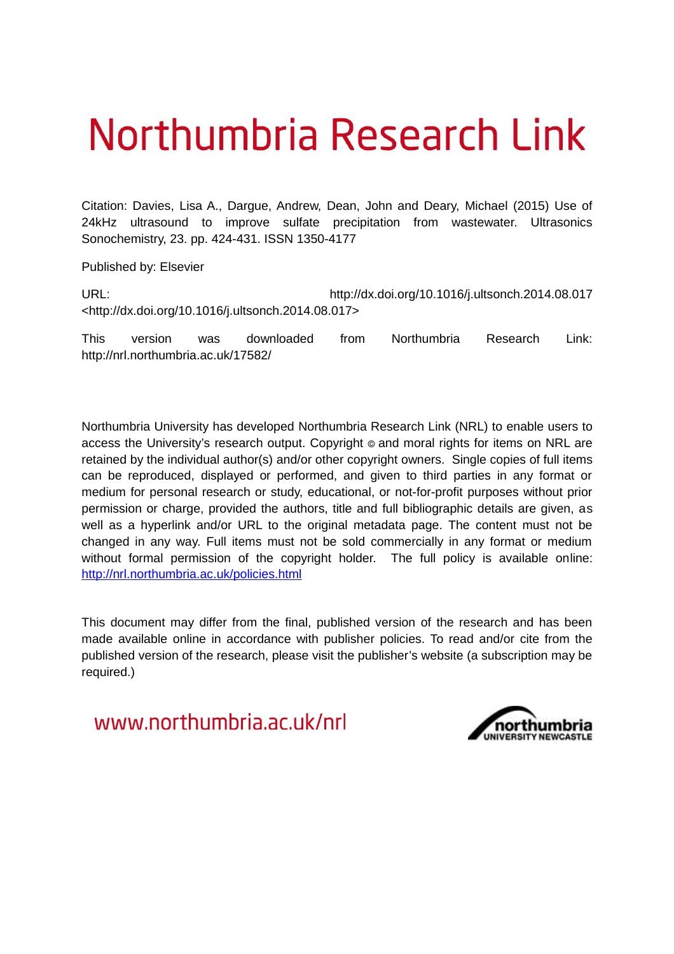# <span id="page-0-0"></span>Northumbria Research Link

Citation: Davies, Lisa A., Dargue, Andrew, Dean, John and Deary, Michael (2015) Use of 24kHz ultrasound to improve sulfate precipitation from wastewater. Ultrasonics Sonochemistry, 23. pp. 424-431. ISSN 1350-4177

Published by: Elsevier

URL: http://dx.doi.org/10.1016/j.ultsonch.2014.08.017 <http://dx.doi.org/10.1016/j.ultsonch.2014.08.017>

This version was downloaded from Northumbria Research Link: http://nrl.northumbria.ac.uk/17582/

Northumbria University has developed Northumbria Research Link (NRL) to enable users to access the University's research output. Copyright  $\circ$  and moral rights for items on NRL are retained by the individual author(s) and/or other copyright owners. Single copies of full items can be reproduced, displayed or performed, and given to third parties in any format or medium for personal research or study, educational, or not-for-profit purposes without prior permission or charge, provided the authors, title and full bibliographic details are given, as well as a hyperlink and/or URL to the original metadata page. The content must not be changed in any way. Full items must not be sold commercially in any format or medium without formal permission of the copyright holder. The full policy is available online: <http://nrl.northumbria.ac.uk/policies.html>

This document may differ from the final, published version of the research and has been made available online in accordance with publisher policies. To read and/or cite from the published version of the research, please visit the publisher's website (a subscription may be required.)

www.northumbria.ac.uk/nrl

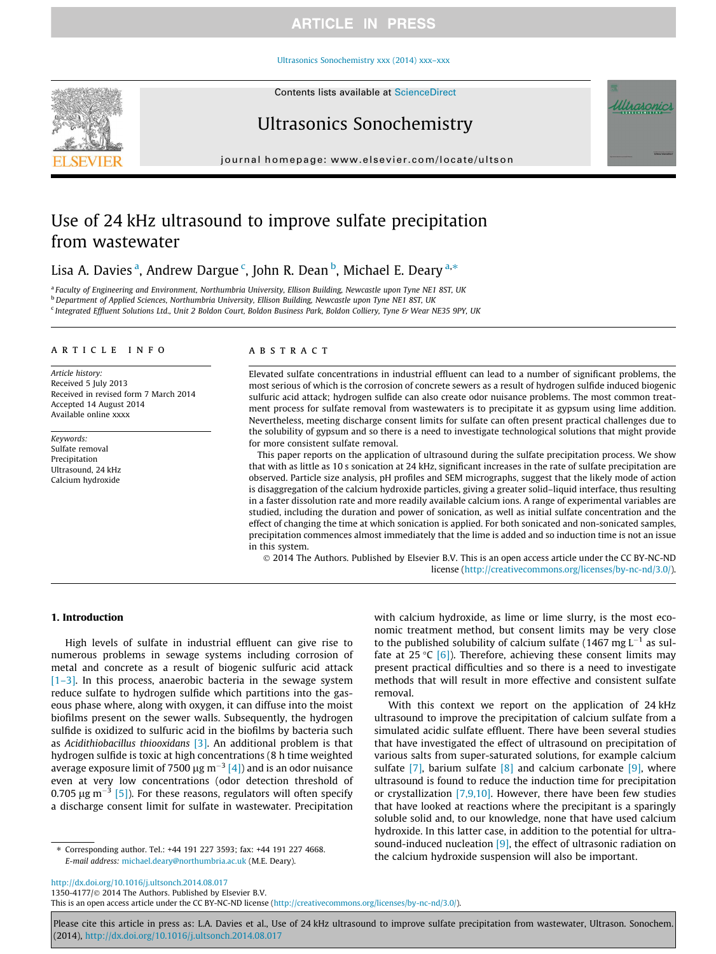#### [Ultrasonics Sonochemistry xxx \(2014\) xxx–xxx](http://dx.doi.org/10.1016/j.ultsonch.2014.08.017)

<span id="page-1-0"></span>

Contents lists available at [ScienceDirect](http://www.sciencedirect.com/science/journal/13504177)

## Ultrasonics Sonochemistry

journal homepage: [www.elsevier.com/locate/ultson](http://www.elsevier.com/locate/ultson)

## Use of 24 kHz ultrasound to improve sulfate precipitation from wastewater

Lis[a](#page-0-0) A. Davies <sup>a</sup>, Andrew Dargue <sup>[c](#page-0-0)</sup>, John R. Dean <sup>[b](#page-0-0)</sup>, Michael E. Deary <sup>a,</sup>\*

<sup>a</sup> Faculty of Engineering and Environment, Northumbria University, Ellison Building, Newcastle upon Tyne NE1 8ST, UK <sup>b</sup> Department of Applied Sciences, Northumbria University, Ellison Building, Newcastle upon Tyne NE1 8ST, UK <sup>c</sup> Integrated Effluent Solutions Ltd., Unit 2 Boldon Court, Boldon Business Park, Boldon Colliery, Tyne & Wear NE35 9PY, UK

#### article info

Article history: Received 5 July 2013 Received in revised form 7 March 2014 Accepted 14 August 2014 Available online xxxx

Keywords: Sulfate removal Precipitation Ultrasound, 24 kHz Calcium hydroxide

#### **ABSTRACT**

Elevated sulfate concentrations in industrial effluent can lead to a number of significant problems, the most serious of which is the corrosion of concrete sewers as a result of hydrogen sulfide induced biogenic sulfuric acid attack; hydrogen sulfide can also create odor nuisance problems. The most common treatment process for sulfate removal from wastewaters is to precipitate it as gypsum using lime addition. Nevertheless, meeting discharge consent limits for sulfate can often present practical challenges due to the solubility of gypsum and so there is a need to investigate technological solutions that might provide for more consistent sulfate removal.

This paper reports on the application of ultrasound during the sulfate precipitation process. We show that with as little as 10 s sonication at 24 kHz, significant increases in the rate of sulfate precipitation are observed. Particle size analysis, pH profiles and SEM micrographs, suggest that the likely mode of action is disaggregation of the calcium hydroxide particles, giving a greater solid–liquid interface, thus resulting in a faster dissolution rate and more readily available calcium ions. A range of experimental variables are studied, including the duration and power of sonication, as well as initial sulfate concentration and the effect of changing the time at which sonication is applied. For both sonicated and non-sonicated samples, precipitation commences almost immediately that the lime is added and so induction time is not an issue in this system.

 $\odot$  2014 The Authors. Published by Elsevier B.V. This is an open access article under the CC BY-NC-ND license (<http://creativecommons.org/licenses/by-nc-nd/3.0/>).

### 1. Introduction

High levels of sulfate in industrial effluent can give rise to numerous problems in sewage systems including corrosion of metal and concrete as a result of biogenic sulfuric acid attack  $[1-3]$ . In this process, anaerobic bacteria in the sewage system reduce sulfate to hydrogen sulfide which partitions into the gaseous phase where, along with oxygen, it can diffuse into the moist biofilms present on the sewer walls. Subsequently, the hydrogen sulfide is oxidized to sulfuric acid in the biofilms by bacteria such as Acidithiobacillus thiooxidans [\[3\]](#page-7-0). An additional problem is that hydrogen sulfide is toxic at high concentrations (8 h time weighted average exposure limit of 7500  $\mu$ g m $^{-3}$  [\[4\]\)](#page-7-0) and is an odor nuisance even at very low concentrations (odor detection threshold of 0.705  $\mu$ g m $^{-3}$  [\[5\]\)](#page-7-0). For these reasons, regulators will often specify a discharge consent limit for sulfate in wastewater. Precipitation

with calcium hydroxide, as lime or lime slurry, is the most economic treatment method, but consent limits may be very close to the published solubility of calcium sulfate (1467 mg  $L^{-1}$  as sulfate at 25 °C  $[6]$ ). Therefore, achieving these consent limits may present practical difficulties and so there is a need to investigate methods that will result in more effective and consistent sulfate removal.

With this context we report on the application of 24 kHz ultrasound to improve the precipitation of calcium sulfate from a simulated acidic sulfate effluent. There have been several studies that have investigated the effect of ultrasound on precipitation of various salts from super-saturated solutions, for example calcium sulfate  $[7]$ , barium sulfate  $[8]$  and calcium carbonate  $[9]$ , where ultrasound is found to reduce the induction time for precipitation or crystallization [\[7,9,10\]](#page-7-0). However, there have been few studies that have looked at reactions where the precipitant is a sparingly soluble solid and, to our knowledge, none that have used calcium hydroxide. In this latter case, in addition to the potential for ultrasound-induced nucleation  $[9]$ , the effect of ultrasonic radiation on the calcium hydroxide suspension will also be important.

<http://dx.doi.org/10.1016/j.ultsonch.2014.08.017> 1350-4177/© 2014 The Authors. Published by Elsevier B.V.

This is an open access article under the CC BY-NC-ND license ([http://creativecommons.org/licenses/by-nc-nd/3.0/\)](http://creativecommons.org/licenses/by-nc-nd/3.0/).

<sup>⇑</sup> Corresponding author. Tel.: +44 191 227 3593; fax: +44 191 227 4668. E-mail address: [michael.deary@northumbria.ac.uk](mailto:michael.deary@northumbria.ac.uk) (M.E. Deary).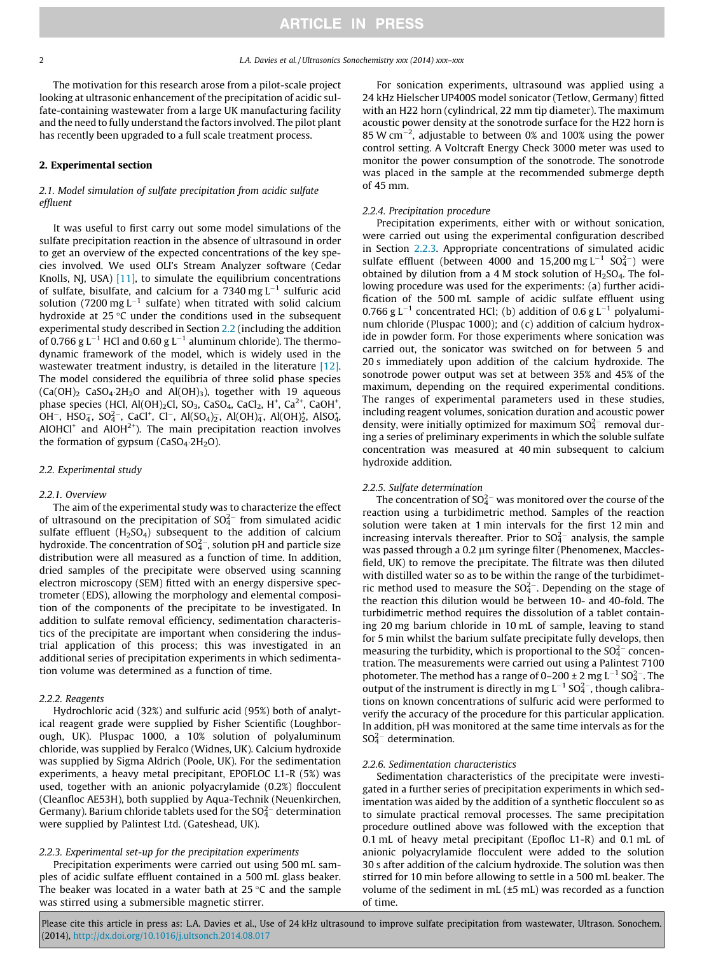<span id="page-2-0"></span>The motivation for this research arose from a pilot-scale project looking at ultrasonic enhancement of the precipitation of acidic sulfate-containing wastewater from a large UK manufacturing facility and the need to fully understand the factors involved. The pilot plant has recently been upgraded to a full scale treatment process.

#### 2. Experimental section

#### 2.1. Model simulation of sulfate precipitation from acidic sulfate effluent

It was useful to first carry out some model simulations of the sulfate precipitation reaction in the absence of ultrasound in order to get an overview of the expected concentrations of the key species involved. We used OLI's Stream Analyzer software (Cedar Knolls, NJ, USA) [\[11\]](#page-7-0), to simulate the equilibrium concentrations of sulfate, bisulfate, and calcium for a 7340 mg  $L^{-1}$  sulfuric acid solution (7200 mg L<sup>-1</sup> sulfate) when titrated with solid calcium hydroxide at  $25^{\circ}$ C under the conditions used in the subsequent experimental study described in Section [2.2](#page-1-0) (including the addition of 0.766 g L $^{-1}$  HCl and 0.60 g L $^{-1}$  aluminum chloride). The thermodynamic framework of the model, which is widely used in the wastewater treatment industry, is detailed in the literature [\[12\].](#page-7-0) The model considered the equilibria of three solid phase species  $(Ca(OH)_2 \text{ CaSO}_4.2H_2O \text{ and } Al(OH)_3)$ , together with 19 aqueous phase species (HCl, Al(OH)<sub>2</sub>Cl, SO<sub>3</sub>, CaSO<sub>4</sub>, CaCl<sub>2</sub>, H<sup>+</sup>, Ca<sup>2+</sup>, CaOH<sup>+</sup>, OH<sup>-</sup>, HSO<sub>4</sub>, SO<sub>4</sub><sup>2</sup>, CaCl<sup>+</sup>, Cl<sup>-</sup>, Al(SO<sub>4</sub>)<sub>2</sub>, Al(OH)<sub>4</sub>, Al(OH)<sub>2</sub>, AlSO<sub>4</sub>, AlOHCl<sup>+</sup> and AlOH<sup>2+</sup>). The main precipitation reaction involves the formation of gypsum ( $CaSO<sub>4</sub>·2H<sub>2</sub>O$ ).

#### 2.2. Experimental study

#### 2.2.1. Overview

The aim of the experimental study was to characterize the effect of ultrasound on the precipitation of SO $_4^{2-}$  from simulated acidic sulfate effluent  $(H<sub>2</sub>SO<sub>4</sub>)$  subsequent to the addition of calcium hydroxide. The concentration of SO $_4^{2-}$ , solution pH and particle size distribution were all measured as a function of time. In addition, dried samples of the precipitate were observed using scanning electron microscopy (SEM) fitted with an energy dispersive spectrometer (EDS), allowing the morphology and elemental composition of the components of the precipitate to be investigated. In addition to sulfate removal efficiency, sedimentation characteristics of the precipitate are important when considering the industrial application of this process; this was investigated in an additional series of precipitation experiments in which sedimentation volume was determined as a function of time.

#### 2.2.2. Reagents

Hydrochloric acid (32%) and sulfuric acid (95%) both of analytical reagent grade were supplied by Fisher Scientific (Loughborough, UK). Pluspac 1000, a 10% solution of polyaluminum chloride, was supplied by Feralco (Widnes, UK). Calcium hydroxide was supplied by Sigma Aldrich (Poole, UK). For the sedimentation experiments, a heavy metal precipitant, EPOFLOC L1-R (5%) was used, together with an anionic polyacrylamide (0.2%) flocculent (Cleanfloc AE53H), both supplied by Aqua-Technik (Neuenkirchen, Germany). Barium chloride tablets used for the SO $_4^2\text{--}$  determination were supplied by Palintest Ltd. (Gateshead, UK).

#### 2.2.3. Experimental set-up for the precipitation experiments

Precipitation experiments were carried out using 500 mL samples of acidic sulfate effluent contained in a 500 mL glass beaker. The beaker was located in a water bath at  $25^{\circ}$ C and the sample was stirred using a submersible magnetic stirrer.

For sonication experiments, ultrasound was applied using a 24 kHz Hielscher UP400S model sonicator (Tetlow, Germany) fitted with an H22 horn (cylindrical, 22 mm tip diameter). The maximum acoustic power density at the sonotrode surface for the H22 horn is  $85$  W cm $^{-2}$ , adjustable to between 0% and 100% using the power control setting. A Voltcraft Energy Check 3000 meter was used to monitor the power consumption of the sonotrode. The sonotrode was placed in the sample at the recommended submerge depth of 45 mm.

#### 2.2.4. Precipitation procedure

Precipitation experiments, either with or without sonication, were carried out using the experimental configuration described in Section [2.2.3.](#page-1-0) Appropriate concentrations of simulated acidic sulfate effluent (between 4000 and 15,200 mg  $L^{-1}$  SO $_4^{2-}$ ) were obtained by dilution from a 4 M stock solution of  $H_2SO_4$ . The following procedure was used for the experiments: (a) further acidification of the 500 mL sample of acidic sulfate effluent using 0.766 g  $L^{-1}$  concentrated HCl; (b) addition of 0.6 g  $L^{-1}$  polyaluminum chloride (Pluspac 1000); and (c) addition of calcium hydroxide in powder form. For those experiments where sonication was carried out, the sonicator was switched on for between 5 and 20 s immediately upon addition of the calcium hydroxide. The sonotrode power output was set at between 35% and 45% of the maximum, depending on the required experimental conditions. The ranges of experimental parameters used in these studies, including reagent volumes, sonication duration and acoustic power density, were initially optimized for maximum  $SO_4^{2-}$  removal during a series of preliminary experiments in which the soluble sulfate concentration was measured at 40 min subsequent to calcium hydroxide addition.

#### 2.2.5. Sulfate determination

The concentration of SO $_4^{2-}$  was monitored over the course of the reaction using a turbidimetric method. Samples of the reaction solution were taken at 1 min intervals for the first 12 min and increasing intervals thereafter. Prior to  $SO_4^{2-}$  analysis, the sample was passed through a 0.2 µm syringe filter (Phenomenex, Macclesfield, UK) to remove the precipitate. The filtrate was then diluted with distilled water so as to be within the range of the turbidimetric method used to measure the  $SO_4^{2-}$ . Depending on the stage of the reaction this dilution would be between 10- and 40-fold. The turbidimetric method requires the dissolution of a tablet containing 20 mg barium chloride in 10 mL of sample, leaving to stand for 5 min whilst the barium sulfate precipitate fully develops, then measuring the turbidity, which is proportional to the  $SO_4^{2-}$  concentration. The measurements were carried out using a Palintest 7100 photometer. The method has a range of  $0-200 \pm 2$  mg  $L^{-1}$  SO $_4^{2-}$ . The output of the instrument is directly in mg  $L^{-1}$  SO $4^{\circ}$ , though calibrations on known concentrations of sulfuric acid were performed to verify the accuracy of the procedure for this particular application. In addition, pH was monitored at the same time intervals as for the  $SO_4^{2-}$  determination.

#### 2.2.6. Sedimentation characteristics

Sedimentation characteristics of the precipitate were investigated in a further series of precipitation experiments in which sedimentation was aided by the addition of a synthetic flocculent so as to simulate practical removal processes. The same precipitation procedure outlined above was followed with the exception that 0.1 mL of heavy metal precipitant (Epofloc L1-R) and 0.1 mL of anionic polyacrylamide flocculent were added to the solution 30 s after addition of the calcium hydroxide. The solution was then stirred for 10 min before allowing to settle in a 500 mL beaker. The volume of the sediment in mL  $(\pm 5$  mL) was recorded as a function of time.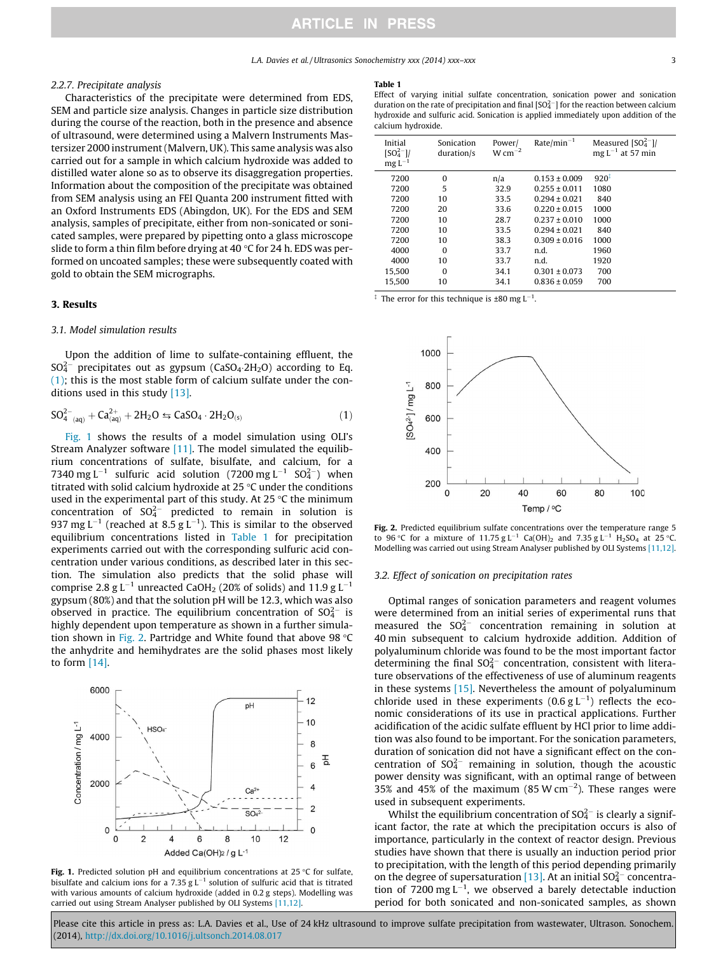#### <span id="page-3-0"></span>2.2.7. Precipitate analysis

Characteristics of the precipitate were determined from EDS, SEM and particle size analysis. Changes in particle size distribution during the course of the reaction, both in the presence and absence of ultrasound, were determined using a Malvern Instruments Mastersizer 2000 instrument (Malvern, UK). This same analysis was also carried out for a sample in which calcium hydroxide was added to distilled water alone so as to observe its disaggregation properties. Information about the composition of the precipitate was obtained from SEM analysis using an FEI Quanta 200 instrument fitted with an Oxford Instruments EDS (Abingdon, UK). For the EDS and SEM analysis, samples of precipitate, either from non-sonicated or sonicated samples, were prepared by pipetting onto a glass microscope slide to form a thin film before drying at 40  $\degree$ C for 24 h. EDS was performed on uncoated samples; these were subsequently coated with gold to obtain the SEM micrographs.

#### 3. Results

#### 3.1. Model simulation results

Upon the addition of lime to sulfate-containing effluent, the  $\mathrm{SO}_4^{2-}$  precipitates out as gypsum (CaSO $_4\text{-}2\mathrm{H}_2\mathrm{O}$ ) according to Eq. [\(1\)](#page-2-0); this is the most stable form of calcium sulfate under the conditions used in this study [\[13\].](#page-7-0)

$$
SO_{4-(aq)}^{2+} + Ca_{(aq)}^{2+} + 2H_2O \leftrightharpoons CaSO_4 \cdot 2H_2O_{(s)}
$$
(1)

[Fig. 1](#page-2-0) shows the results of a model simulation using OLI's Stream Analyzer software [\[11\].](#page-7-0) The model simulated the equilibrium concentrations of sulfate, bisulfate, and calcium, for a 7340 mg L<sup>-1</sup> sulfuric acid solution (7200 mg L<sup>-1</sup> SO<sub>4</sub><sup>2</sup>) when titrated with solid calcium hydroxide at 25  $\degree$ C under the conditions used in the experimental part of this study. At 25  $\degree$ C the minimum concentration of  $SO_4^{2-}$  predicted to remain in solution is 937 mg L<sup>-1</sup> (reached at 8.5 g L<sup>-1</sup>). This is similar to the observed equilibrium concentrations listed in [Table 1](#page-2-0) for precipitation experiments carried out with the corresponding sulfuric acid concentration under various conditions, as described later in this section. The simulation also predicts that the solid phase will comprise 2.8 g L $^{-1}$  unreacted CaOH<sub>2</sub> (20% of solids) and 11.9 g L $^{-1}$ gypsum (80%) and that the solution pH will be 12.3, which was also observed in practice. The equilibrium concentration of  $SO_4^{2-}$  is highly dependent upon temperature as shown in a further simula-tion shown in [Fig. 2.](#page-2-0) Partridge and White found that above 98  $\degree$ C the anhydrite and hemihydrates are the solid phases most likely to form [\[14\]](#page-7-0).



Fig. 1. Predicted solution pH and equilibrium concentrations at 25 °C for sulfate, bisulfate and calcium ions for a 7.35 g L<sup>-1</sup> solution of sulfuric acid that is titrated with various amounts of calcium hydroxide (added in 0.2 g steps). Modelling was carried out using Stream Analyser published by OLI Systems [\[11,12\]](#page-7-0).

#### Table 1

Effect of varying initial sulfate concentration, sonication power and sonication duration on the rate of precipitation and final  $[SO_4^{2-}]$  for the reaction between calcium hydroxide and sulfuric acid. Sonication is applied immediately upon addition of the calcium hydroxide.

| Initial<br>$[SO_4^{2-}]$<br>$mgL^{-1}$ | Sonication<br>duration/s | Power/<br>$W \, \text{cm}^{-2}$ | $Rate/min^{-1}$   | Measured $[SO_4^{2-}]$ /<br>$mg L^{-1}$ at 57 min |
|----------------------------------------|--------------------------|---------------------------------|-------------------|---------------------------------------------------|
| 7200                                   | $\Omega$                 | n/a                             | $0.153 \pm 0.009$ | $920^{\ddagger}$                                  |
| 7200                                   | 5                        | 32.9                            | $0.255 \pm 0.011$ | 1080                                              |
| 7200                                   | 10                       | 33.5                            | $0.294 \pm 0.021$ | 840                                               |
| 7200                                   | 20                       | 33.6                            | $0.220 \pm 0.015$ | 1000                                              |
| 7200                                   | 10                       | 28.7                            | $0.237 \pm 0.010$ | 1000                                              |
| 7200                                   | 10                       | 33.5                            | $0.294 \pm 0.021$ | 840                                               |
| 7200                                   | 10                       | 38.3                            | $0.309 \pm 0.016$ | 1000                                              |
| 4000                                   | $\Omega$                 | 33.7                            | n.d.              | 1960                                              |
| 4000                                   | 10                       | 33.7                            | n.d.              | 1920                                              |
| 15.500                                 | $\Omega$                 | 34.1                            | $0.301 \pm 0.073$ | 700                                               |
| 15.500                                 | 10                       | 34.1                            | $0.836 \pm 0.059$ | 700                                               |

<sup> $\ddag$ </sup> The error for this technique is  $\pm 80$  mg L<sup>-1</sup>.



Fig. 2. Predicted equilibrium sulfate concentrations over the temperature range 5 to 96 °C for a mixture of 11.75  $g L^{-1}$  Ca(OH)<sub>2</sub> and 7.35  $g L^{-1}$  H<sub>2</sub>SO<sub>4</sub> at 25 °C. Modelling was carried out using Stream Analyser published by OLI Systems [\[11,12\].](#page-7-0)

#### 3.2. Effect of sonication on precipitation rates

Optimal ranges of sonication parameters and reagent volumes were determined from an initial series of experimental runs that measured the  $SO_4^{2-}$  concentration remaining in solution at 40 min subsequent to calcium hydroxide addition. Addition of polyaluminum chloride was found to be the most important factor determining the final  $SO_4^{2-}$  concentration, consistent with literature observations of the effectiveness of use of aluminum reagents in these systems [\[15\]](#page-7-0). Nevertheless the amount of polyaluminum chloride used in these experiments  $(0.6 \text{ g L}^{-1})$  reflects the economic considerations of its use in practical applications. Further acidification of the acidic sulfate effluent by HCl prior to lime addition was also found to be important. For the sonication parameters, duration of sonication did not have a significant effect on the concentration of  $SO_4^{2-}$  remaining in solution, though the acoustic power density was significant, with an optimal range of between 35% and 45% of the maximum (85 W  $\text{cm}^{-2}$ ). These ranges were used in subsequent experiments.

Whilst the equilibrium concentration of  $SO_4^{2-}$  is clearly a significant factor, the rate at which the precipitation occurs is also of importance, particularly in the context of reactor design. Previous studies have shown that there is usually an induction period prior to precipitation, with the length of this period depending primarily on the degree of supersaturation  $[13]$ . At an initial SO $^{2-}$  concentration of 7200 mg  $L^{-1}$ , we observed a barely detectable induction period for both sonicated and non-sonicated samples, as shown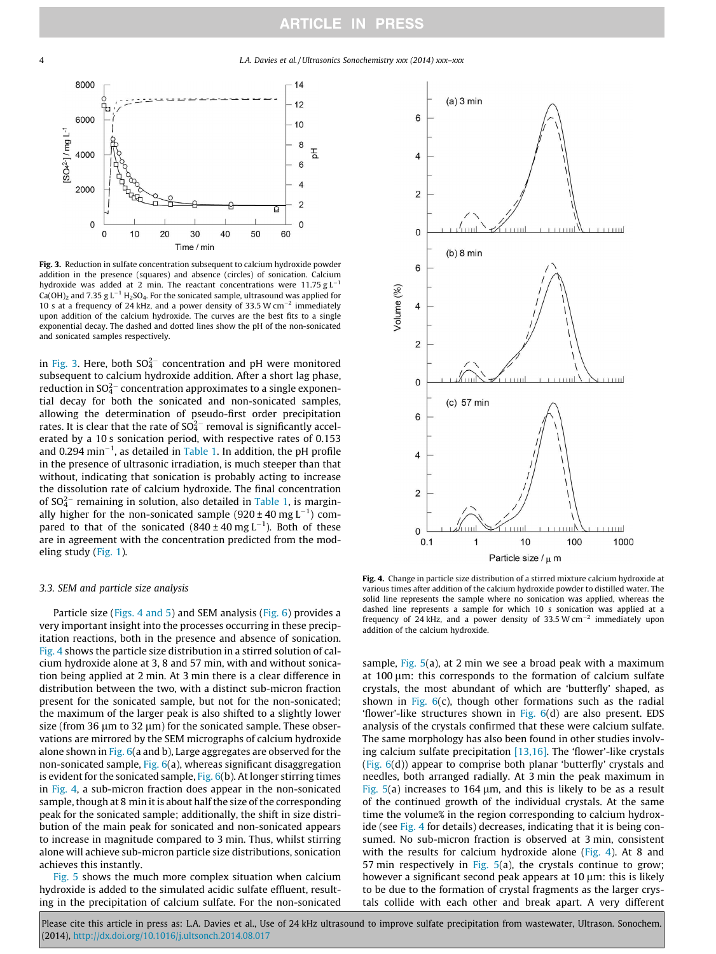<span id="page-4-0"></span>4 L.A. Davies et al. / Ultrasonics Sonochemistry xxx (2014) xxx–xxx



Fig. 3. Reduction in sulfate concentration subsequent to calcium hydroxide powder addition in the presence (squares) and absence (circles) of sonication. Calcium hydroxide was added at 2 min. The reactant concentrations were 11.75  $g L^{-1}$ Ca(OH)<sub>2</sub> and 7.35 g L<sup>-1</sup> H<sub>2</sub>SO<sub>4</sub>. For the sonicated sample, ultrasound was applied for 10 s at a frequency of 24 kHz, and a power density of 33.5 W  $cm^{-2}$  immediately upon addition of the calcium hydroxide. The curves are the best fits to a single exponential decay. The dashed and dotted lines show the pH of the non-sonicated and sonicated samples respectively.

in [Fig. 3](#page-3-0). Here, both SO $_4^{2-}$  concentration and pH were monitored subsequent to calcium hydroxide addition. After a short lag phase, reduction in SO $_4^{2-}$  concentration approximates to a single exponential decay for both the sonicated and non-sonicated samples, allowing the determination of pseudo-first order precipitation rates. It is clear that the rate of SO $_4^{2-}$  removal is significantly accelerated by a 10 s sonication period, with respective rates of 0.153 and 0.294 min<sup>-1</sup>, as detailed in [Table 1.](#page-2-0) In addition, the pH profile in the presence of ultrasonic irradiation, is much steeper than that without, indicating that sonication is probably acting to increase the dissolution rate of calcium hydroxide. The final concentration of SO $_4^{2-}$  remaining in solution, also detailed in [Table 1,](#page-2-0) is marginally higher for the non-sonicated sample (920 ± 40 mg  $L^{-1}$ ) compared to that of the sonicated  $(840 \pm 40 \text{ mg L}^{-1})$ . Both of these are in agreement with the concentration predicted from the modeling study ([Fig. 1](#page-2-0)).

#### 3.3. SEM and particle size analysis

Particle size [\(Figs. 4 and 5\)](#page-3-0) and SEM analysis [\(Fig. 6](#page-5-0)) provides a very important insight into the processes occurring in these precipitation reactions, both in the presence and absence of sonication. [Fig. 4](#page-3-0) shows the particle size distribution in a stirred solution of calcium hydroxide alone at 3, 8 and 57 min, with and without sonication being applied at 2 min. At 3 min there is a clear difference in distribution between the two, with a distinct sub-micron fraction present for the sonicated sample, but not for the non-sonicated; the maximum of the larger peak is also shifted to a slightly lower size (from 36  $\mu$ m to 32  $\mu$ m) for the sonicated sample. These observations are mirrored by the SEM micrographs of calcium hydroxide alone shown in [Fig. 6](#page-5-0)(a and b), Large aggregates are observed for the non-sonicated sample, [Fig. 6](#page-5-0)(a), whereas significant disaggregation is evident for the sonicated sample,  $Fig. 6(b)$  $Fig. 6(b)$ . At longer stirring times in [Fig. 4,](#page-3-0) a sub-micron fraction does appear in the non-sonicated sample, though at 8 min it is about half the size of the corresponding peak for the sonicated sample; additionally, the shift in size distribution of the main peak for sonicated and non-sonicated appears to increase in magnitude compared to 3 min. Thus, whilst stirring alone will achieve sub-micron particle size distributions, sonication achieves this instantly.

Fig. 5 shows the much more complex situation when calcium hydroxide is added to the simulated acidic sulfate effluent, resulting in the precipitation of calcium sulfate. For the non-sonicated



Fig. 4. Change in particle size distribution of a stirred mixture calcium hydroxide at various times after addition of the calcium hydroxide powder to distilled water. The solid line represents the sample where no sonication was applied, whereas the dashed line represents a sample for which 10 s sonication was applied at a frequency of 24 kHz, and a power density of 33.5 W  $cm^{-2}$  immediately upon addition of the calcium hydroxide.

sample, Fig.  $5(a)$ , at 2 min we see a broad peak with a maximum at 100  $\mu$ m: this corresponds to the formation of calcium sulfate crystals, the most abundant of which are 'butterfly' shaped, as shown in Fig.  $6(c)$ , though other formations such as the radial 'flower'-like structures shown in Fig.  $6(d)$  are also present. EDS analysis of the crystals confirmed that these were calcium sulfate. The same morphology has also been found in other studies involving calcium sulfate precipitation [\[13,16\].](#page-7-0) The 'flower'-like crystals ([Fig. 6\(](#page-5-0)d)) appear to comprise both planar 'butterfly' crystals and needles, both arranged radially. At 3 min the peak maximum in Fig.  $5(a)$  increases to 164  $\mu$ m, and this is likely to be as a result of the continued growth of the individual crystals. At the same time the volume% in the region corresponding to calcium hydroxide (see [Fig. 4](#page-3-0) for details) decreases, indicating that it is being consumed. No sub-micron fraction is observed at 3 min, consistent with the results for calcium hydroxide alone ([Fig. 4\)](#page-3-0). At 8 and 57 min respectively in Fig.  $5(a)$ , the crystals continue to grow; however a significant second peak appears at  $10 \mu m$ : this is likely to be due to the formation of crystal fragments as the larger crystals collide with each other and break apart. A very different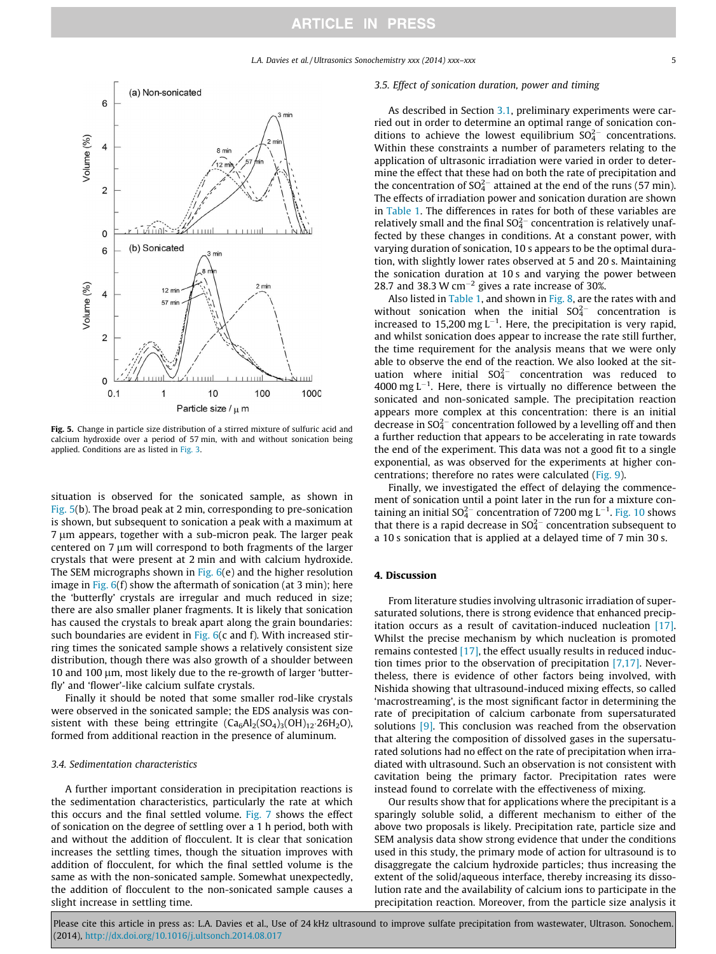<span id="page-5-0"></span>

Fig. 5. Change in particle size distribution of a stirred mixture of sulfuric acid and calcium hydroxide over a period of 57 min, with and without sonication being applied. Conditions are as listed in [Fig. 3](#page-3-0).

situation is observed for the sonicated sample, as shown in [Fig. 5](#page-4-0)(b). The broad peak at 2 min, corresponding to pre-sonication is shown, but subsequent to sonication a peak with a maximum at 7 µm appears, together with a sub-micron peak. The larger peak centered on 7  $\mu$ m will correspond to both fragments of the larger crystals that were present at 2 min and with calcium hydroxide. The SEM micrographs shown in Fig. 6(e) and the higher resolution image in Fig.  $6(f)$  show the aftermath of sonication (at 3 min); here the 'butterfly' crystals are irregular and much reduced in size; there are also smaller planer fragments. It is likely that sonication has caused the crystals to break apart along the grain boundaries: such boundaries are evident in Fig.  $6$ (c and f). With increased stirring times the sonicated sample shows a relatively consistent size distribution, though there was also growth of a shoulder between 10 and 100  $\mu$ m, most likely due to the re-growth of larger 'butterfly' and 'flower'-like calcium sulfate crystals.

Finally it should be noted that some smaller rod-like crystals were observed in the sonicated sample; the EDS analysis was consistent with these being ettringite  $(Ca_6Al_2(SO_4)_3(OH)_{12}.26H_2O)$ , formed from additional reaction in the presence of aluminum.

#### 3.4. Sedimentation characteristics

A further important consideration in precipitation reactions is the sedimentation characteristics, particularly the rate at which this occurs and the final settled volume. [Fig. 7](#page-6-0) shows the effect of sonication on the degree of settling over a 1 h period, both with and without the addition of flocculent. It is clear that sonication increases the settling times, though the situation improves with addition of flocculent, for which the final settled volume is the same as with the non-sonicated sample. Somewhat unexpectedly, the addition of flocculent to the non-sonicated sample causes a slight increase in settling time.

#### 3.5. Effect of sonication duration, power and timing

As described in Section [3.1](#page-2-0), preliminary experiments were carried out in order to determine an optimal range of sonication conditions to achieve the lowest equilibrium  $SO_4^{2-}$  concentrations. Within these constraints a number of parameters relating to the application of ultrasonic irradiation were varied in order to determine the effect that these had on both the rate of precipitation and the concentration of  $SO_4^{2-}$  attained at the end of the runs (57 min). The effects of irradiation power and sonication duration are shown in [Table 1.](#page-2-0) The differences in rates for both of these variables are relatively small and the final  $SO_4^{2-}$  concentration is relatively unaffected by these changes in conditions. At a constant power, with varying duration of sonication, 10 s appears to be the optimal duration, with slightly lower rates observed at 5 and 20 s. Maintaining the sonication duration at 10 s and varying the power between 28.7 and 38.3 W  $cm^{-2}$  gives a rate increase of 30%.

Also listed in [Table 1,](#page-2-0) and shown in [Fig. 8,](#page-6-0) are the rates with and without sonication when the initial  $SO_4^{2-}$  concentration is increased to 15,200 mg  $L^{-1}$ . Here, the precipitation is very rapid, and whilst sonication does appear to increase the rate still further, the time requirement for the analysis means that we were only able to observe the end of the reaction. We also looked at the situation where initial  $SO_4^{2-}$  concentration was reduced to 4000 mg  $L^{-1}$ . Here, there is virtually no difference between the sonicated and non-sonicated sample. The precipitation reaction appears more complex at this concentration: there is an initial decrease in SO $_4^{2-}$  concentration followed by a levelling off and then a further reduction that appears to be accelerating in rate towards the end of the experiment. This data was not a good fit to a single exponential, as was observed for the experiments at higher concentrations; therefore no rates were calculated ([Fig. 9](#page-6-0)).

Finally, we investigated the effect of delaying the commencement of sonication until a point later in the run for a mixture containing an initial SO $_4^{2-}$  concentration of 7200 mg L $^{-1}$ . [Fig. 10](#page-6-0) shows that there is a rapid decrease in  $SO_4^{2-}$  concentration subsequent to a 10 s sonication that is applied at a delayed time of 7 min 30 s.

#### 4. Discussion

From literature studies involving ultrasonic irradiation of supersaturated solutions, there is strong evidence that enhanced precipitation occurs as a result of cavitation-induced nucleation [\[17\].](#page-7-0) Whilst the precise mechanism by which nucleation is promoted remains contested [\[17\]](#page-7-0), the effect usually results in reduced induction times prior to the observation of precipitation  $[7,17]$ . Nevertheless, there is evidence of other factors being involved, with Nishida showing that ultrasound-induced mixing effects, so called 'macrostreaming', is the most significant factor in determining the rate of precipitation of calcium carbonate from supersaturated solutions  $[9]$ . This conclusion was reached from the observation that altering the composition of dissolved gases in the supersaturated solutions had no effect on the rate of precipitation when irradiated with ultrasound. Such an observation is not consistent with cavitation being the primary factor. Precipitation rates were instead found to correlate with the effectiveness of mixing.

Our results show that for applications where the precipitant is a sparingly soluble solid, a different mechanism to either of the above two proposals is likely. Precipitation rate, particle size and SEM analysis data show strong evidence that under the conditions used in this study, the primary mode of action for ultrasound is to disaggregate the calcium hydroxide particles; thus increasing the extent of the solid/aqueous interface, thereby increasing its dissolution rate and the availability of calcium ions to participate in the precipitation reaction. Moreover, from the particle size analysis it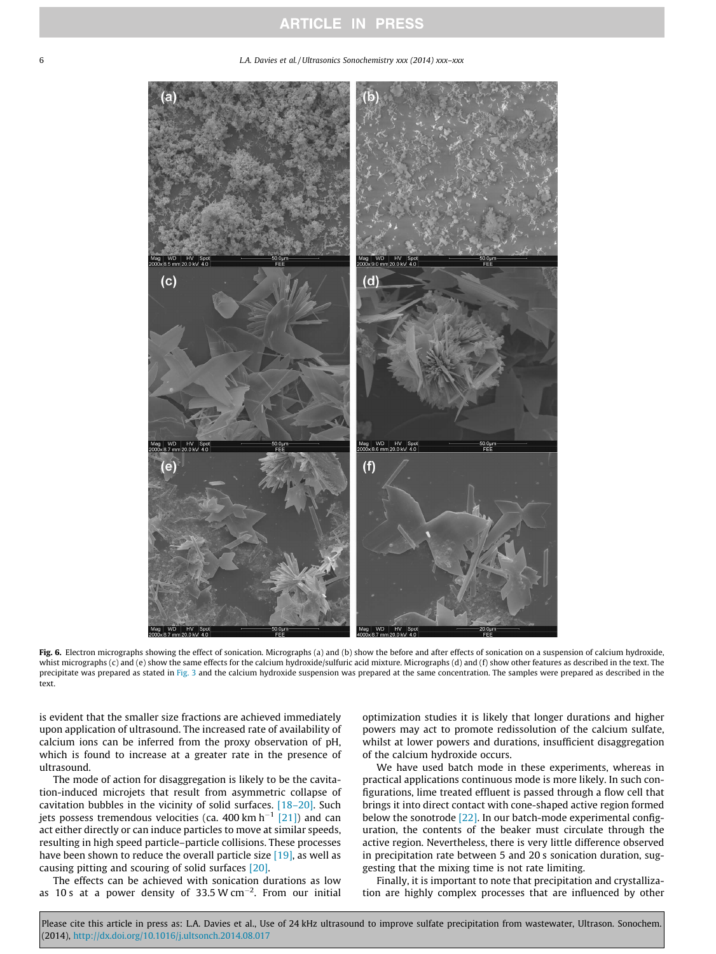<span id="page-6-0"></span>6 L.A. Davies et al. / Ultrasonics Sonochemistry xxx (2014) xxx–xxx



Fig. 6. Electron micrographs showing the effect of sonication. Micrographs (a) and (b) show the before and after effects of sonication on a suspension of calcium hydroxide, whist micrographs (c) and (e) show the same effects for the calcium hydroxide/sulfuric acid mixture. Micrographs (d) and (f) show other features as described in the text. The precipitate was prepared as stated in [Fig. 3](#page-3-0) and the calcium hydroxide suspension was prepared at the same concentration. The samples were prepared as described in the text.

is evident that the smaller size fractions are achieved immediately upon application of ultrasound. The increased rate of availability of calcium ions can be inferred from the proxy observation of pH, which is found to increase at a greater rate in the presence of ultrasound.

The mode of action for disaggregation is likely to be the cavitation-induced microjets that result from asymmetric collapse of cavitation bubbles in the vicinity of solid surfaces. [\[18–20\].](#page-7-0) Such jets possess tremendous velocities (ca. 400 km h<sup>-1</sup> [\[21\]](#page-7-0)) and can act either directly or can induce particles to move at similar speeds, resulting in high speed particle–particle collisions. These processes have been shown to reduce the overall particle size [\[19\]](#page-7-0), as well as causing pitting and scouring of solid surfaces [\[20\].](#page-7-0)

The effects can be achieved with sonication durations as low as 10 s at a power density of 33.5 W  $\rm cm^{-2}$ . From our initial

optimization studies it is likely that longer durations and higher powers may act to promote redissolution of the calcium sulfate, whilst at lower powers and durations, insufficient disaggregation of the calcium hydroxide occurs.

We have used batch mode in these experiments, whereas in practical applications continuous mode is more likely. In such configurations, lime treated effluent is passed through a flow cell that brings it into direct contact with cone-shaped active region formed below the sonotrode [\[22\]](#page-7-0). In our batch-mode experimental configuration, the contents of the beaker must circulate through the active region. Nevertheless, there is very little difference observed in precipitation rate between 5 and 20 s sonication duration, suggesting that the mixing time is not rate limiting.

Finally, it is important to note that precipitation and crystallization are highly complex processes that are influenced by other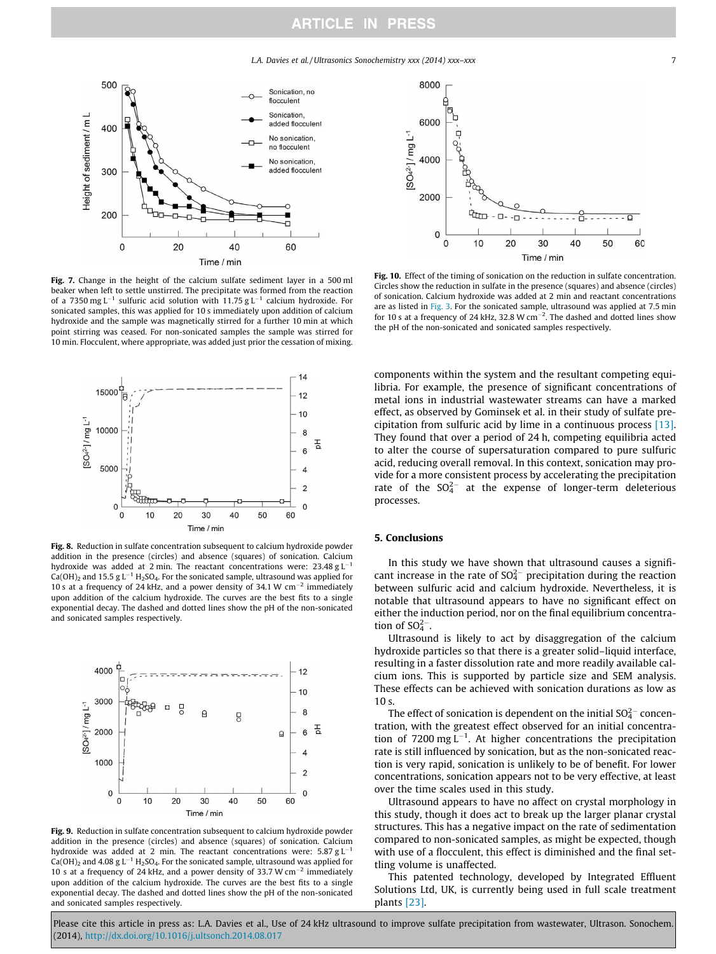L.A. Davies et al. / Ultrasonics Sonochemistry xxx (2014) xxx–xxx 7

<span id="page-7-0"></span>

Fig. 7. Change in the height of the calcium sulfate sediment layer in a 500 ml beaker when left to settle unstirred. The precipitate was formed from the reaction of a 7350 mg L<sup>-1</sup> sulfuric acid solution with 11.75 g L<sup>-1</sup> calcium hydroxide. For sonicated samples, this was applied for 10 s immediately upon addition of calcium hydroxide and the sample was magnetically stirred for a further 10 min at which point stirring was ceased. For non-sonicated samples the sample was stirred for 10 min. Flocculent, where appropriate, was added just prior the cessation of mixing.



Fig. 8. Reduction in sulfate concentration subsequent to calcium hydroxide powder addition in the presence (circles) and absence (squares) of sonication. Calcium hydroxide was added at 2 min. The reactant concentrations were: 23.48 g  $L^{-1}$ Ca(OH)<sub>2</sub> and 15.5 g L<sup>-1</sup> H<sub>2</sub>SO<sub>4</sub>. For the sonicated sample, ultrasound was applied for 10 s at a frequency of 24 kHz, and a power density of 34.1 W  $cm^{-2}$  immediately upon addition of the calcium hydroxide. The curves are the best fits to a single exponential decay. The dashed and dotted lines show the pH of the non-sonicated and sonicated samples respectively.



Fig. 9. Reduction in sulfate concentration subsequent to calcium hydroxide powder addition in the presence (circles) and absence (squares) of sonication. Calcium hydroxide was added at 2 min. The reactant concentrations were:  $5.87 \text{ g L}^{-1}$ Ca(OH)<sub>2</sub> and 4.08 g L<sup>-1</sup> H<sub>2</sub>SO<sub>4</sub>. For the sonicated sample, ultrasound was applied for 10 s at a frequency of 24 kHz, and a power density of 33.7 W  $cm^{-2}$  immediately upon addition of the calcium hydroxide. The curves are the best fits to a single exponential decay. The dashed and dotted lines show the pH of the non-sonicated and sonicated samples respectively.



Fig. 10. Effect of the timing of sonication on the reduction in sulfate concentration. Circles show the reduction in sulfate in the presence (squares) and absence (circles) of sonication. Calcium hydroxide was added at 2 min and reactant concentrations are as listed in [Fig. 3.](#page-3-0) For the sonicated sample, ultrasound was applied at 7.5 min<br>for 10 s at a frequency of 24 kHz, 32.8 W cm<sup>-2</sup>. The dashed and dotted lines show the pH of the non-sonicated and sonicated samples respectively.

components within the system and the resultant competing equilibria. For example, the presence of significant concentrations of metal ions in industrial wastewater streams can have a marked effect, as observed by Gominsek et al. in their study of sulfate precipitation from sulfuric acid by lime in a continuous process [13]. They found that over a period of 24 h, competing equilibria acted to alter the course of supersaturation compared to pure sulfuric acid, reducing overall removal. In this context, sonication may provide for a more consistent process by accelerating the precipitation rate of the  $SO_4^{2-}$  at the expense of longer-term deleterious processes.

#### 5. Conclusions

In this study we have shown that ultrasound causes a significant increase in the rate of  $SO_4^{2-}$  precipitation during the reaction between sulfuric acid and calcium hydroxide. Nevertheless, it is notable that ultrasound appears to have no significant effect on either the induction period, nor on the final equilibrium concentration of  $SO_4^{2-}$ .

Ultrasound is likely to act by disaggregation of the calcium hydroxide particles so that there is a greater solid–liquid interface, resulting in a faster dissolution rate and more readily available calcium ions. This is supported by particle size and SEM analysis. These effects can be achieved with sonication durations as low as  $10 s$ .

The effect of sonication is dependent on the initial SO $_4^{2-}$  concentration, with the greatest effect observed for an initial concentration of 7200 mg  $L^{-1}$ . At higher concentrations the precipitation rate is still influenced by sonication, but as the non-sonicated reaction is very rapid, sonication is unlikely to be of benefit. For lower concentrations, sonication appears not to be very effective, at least over the time scales used in this study.

Ultrasound appears to have no affect on crystal morphology in this study, though it does act to break up the larger planar crystal structures. This has a negative impact on the rate of sedimentation compared to non-sonicated samples, as might be expected, though with use of a flocculent, this effect is diminished and the final settling volume is unaffected.

This patented technology, developed by Integrated Effluent Solutions Ltd, UK, is currently being used in full scale treatment plants [23].